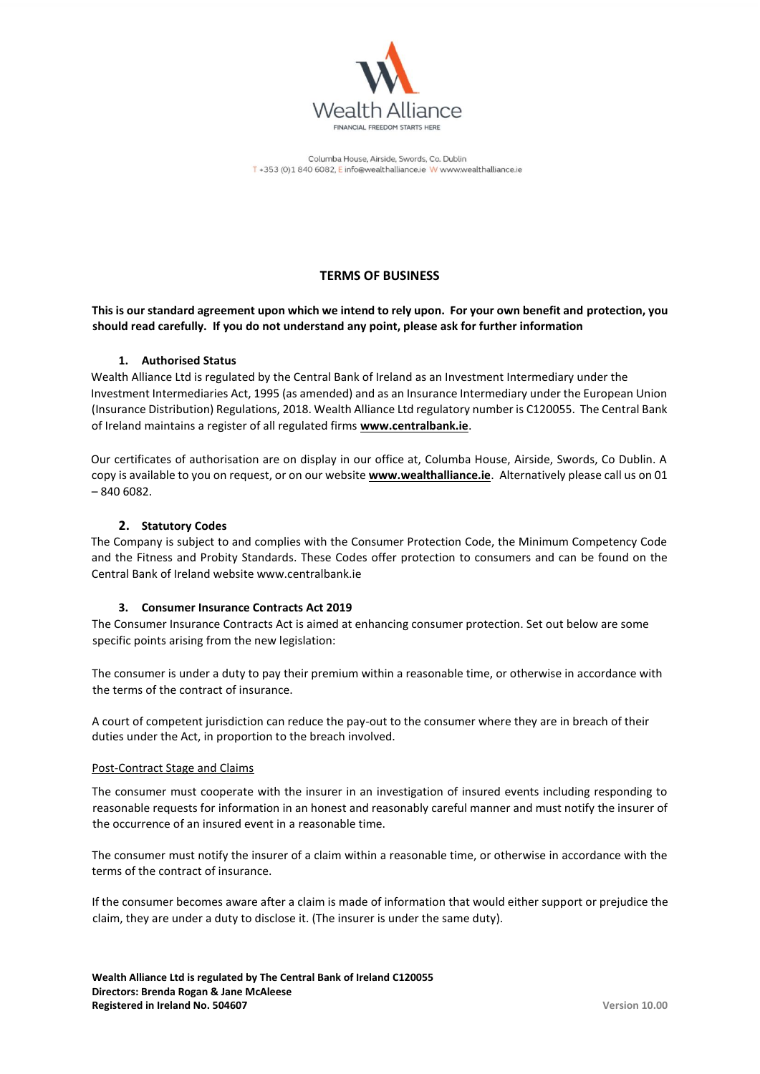

Columba House, Airside, Swords, Co. Dublin T+353 (0)1 840 6082. Einfo@wealthalliance.ie W www.wealthalliance.ie

# **TERMS OF BUSINESS**

## **This is our standard agreement upon which we intend to rely upon. For your own benefit and protection, you should read carefully. If you do not understand any point, please ask for further information**

## **1. Authorised Status**

Wealth Alliance Ltd is regulated by the Central Bank of Ireland as an Investment Intermediary under the Investment Intermediaries Act, 1995 (as amended) and as an Insurance Intermediary under the European Union (Insurance Distribution) Regulations, 2018. Wealth Alliance Ltd regulatory number is C120055. The Central Bank of Ireland maintains a register of all regulated firms **[www.centralbank.ie](http://www.centralbank.ie/)**[.](http://www.centralbank.ie/) 

Our certificates of authorisation are on display in our office at, Columba House, Airside, Swords, Co Dublin. A copy is available to you on request, or on our website **[www.wealthalliance.ie](http://www.wealthalliance.ie/)**[.](http://www.wealthalliance.ie/) Alternatively please call us on 01 – 840 6082.

## **2. Statutory Codes**

The Company is subject to and complies with the Consumer Protection Code, the Minimum Competency Code and the Fitness and Probity Standards. These Codes offer protection to consumers and can be found on the Central Bank of Ireland website www.centralbank.ie

## **3. Consumer Insurance Contracts Act 2019**

The Consumer Insurance Contracts Act is aimed at enhancing consumer protection. Set out below are some specific points arising from the new legislation:

The consumer is under a duty to pay their premium within a reasonable time, or otherwise in accordance with the terms of the contract of insurance.

A court of competent jurisdiction can reduce the pay-out to the consumer where they are in breach of their duties under the Act, in proportion to the breach involved.

### Post-Contract Stage and Claims

The consumer must cooperate with the insurer in an investigation of insured events including responding to reasonable requests for information in an honest and reasonably careful manner and must notify the insurer of the occurrence of an insured event in a reasonable time.

The consumer must notify the insurer of a claim within a reasonable time, or otherwise in accordance with the terms of the contract of insurance.

If the consumer becomes aware after a claim is made of information that would either support or prejudice the claim, they are under a duty to disclose it. (The insurer is under the same duty).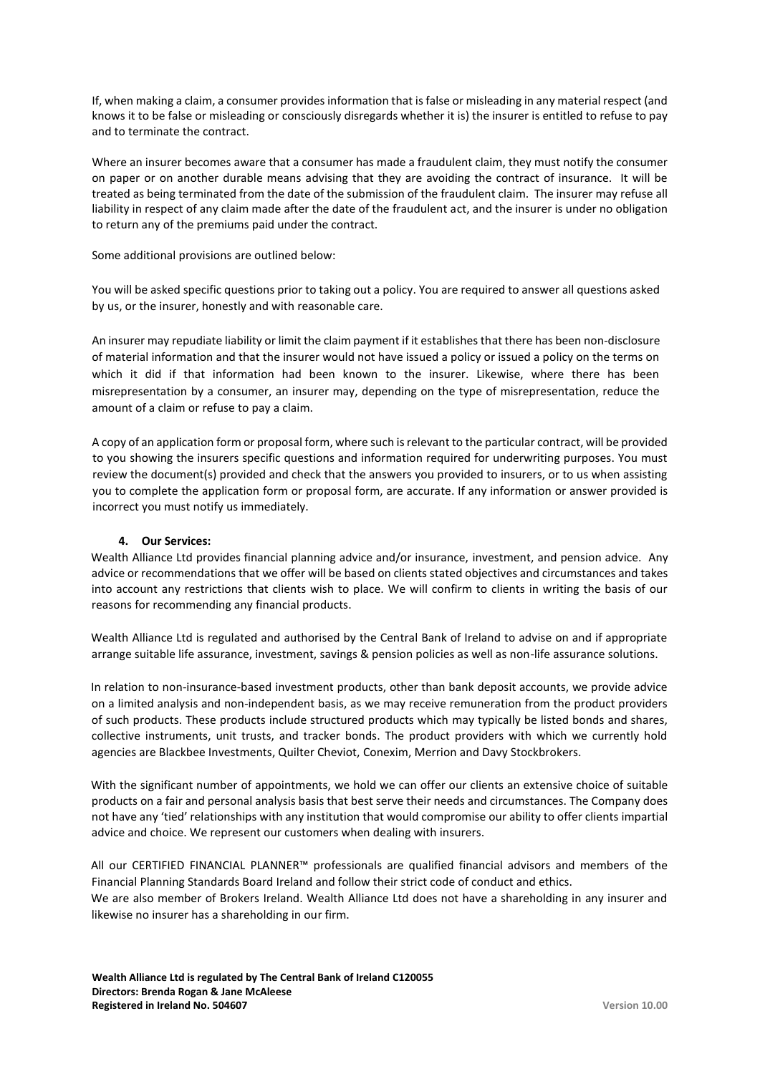If, when making a claim, a consumer provides information that is false or misleading in any material respect (and knows it to be false or misleading or consciously disregards whether it is) the insurer is entitled to refuse to pay and to terminate the contract.

Where an insurer becomes aware that a consumer has made a fraudulent claim, they must notify the consumer on paper or on another durable means advising that they are avoiding the contract of insurance. It will be treated as being terminated from the date of the submission of the fraudulent claim. The insurer may refuse all liability in respect of any claim made after the date of the fraudulent act, and the insurer is under no obligation to return any of the premiums paid under the contract.

Some additional provisions are outlined below:

You will be asked specific questions prior to taking out a policy. You are required to answer all questions asked by us, or the insurer, honestly and with reasonable care.

An insurer may repudiate liability or limit the claim payment if it establishes that there has been non-disclosure of material information and that the insurer would not have issued a policy or issued a policy on the terms on which it did if that information had been known to the insurer. Likewise, where there has been misrepresentation by a consumer, an insurer may, depending on the type of misrepresentation, reduce the amount of a claim or refuse to pay a claim.

A copy of an application form or proposal form, where such is relevant to the particular contract, will be provided to you showing the insurers specific questions and information required for underwriting purposes. You must review the document(s) provided and check that the answers you provided to insurers, or to us when assisting you to complete the application form or proposal form, are accurate. If any information or answer provided is incorrect you must notify us immediately.

#### **4. Our Services:**

Wealth Alliance Ltd provides financial planning advice and/or insurance, investment, and pension advice. Any advice or recommendations that we offer will be based on clients stated objectives and circumstances and takes into account any restrictions that clients wish to place. We will confirm to clients in writing the basis of our reasons for recommending any financial products.

Wealth Alliance Ltd is regulated and authorised by the Central Bank of Ireland to advise on and if appropriate arrange suitable life assurance, investment, savings & pension policies as well as non-life assurance solutions.

In relation to non-insurance-based investment products, other than bank deposit accounts, we provide advice on a limited analysis and non-independent basis, as we may receive remuneration from the product providers of such products. These products include structured products which may typically be listed bonds and shares, collective instruments, unit trusts, and tracker bonds. The product providers with which we currently hold agencies are Blackbee Investments, Quilter Cheviot, Conexim, Merrion and Davy Stockbrokers.

With the significant number of appointments, we hold we can offer our clients an extensive choice of suitable products on a fair and personal analysis basis that best serve their needs and circumstances. The Company does not have any 'tied' relationships with any institution that would compromise our ability to offer clients impartial advice and choice. We represent our customers when dealing with insurers.

All our CERTIFIED FINANCIAL PLANNER™ professionals are qualified financial advisors and members of the Financial Planning Standards Board Ireland and follow their strict code of conduct and ethics.

We are also member of Brokers Ireland. Wealth Alliance Ltd does not have a shareholding in any insurer and likewise no insurer has a shareholding in our firm.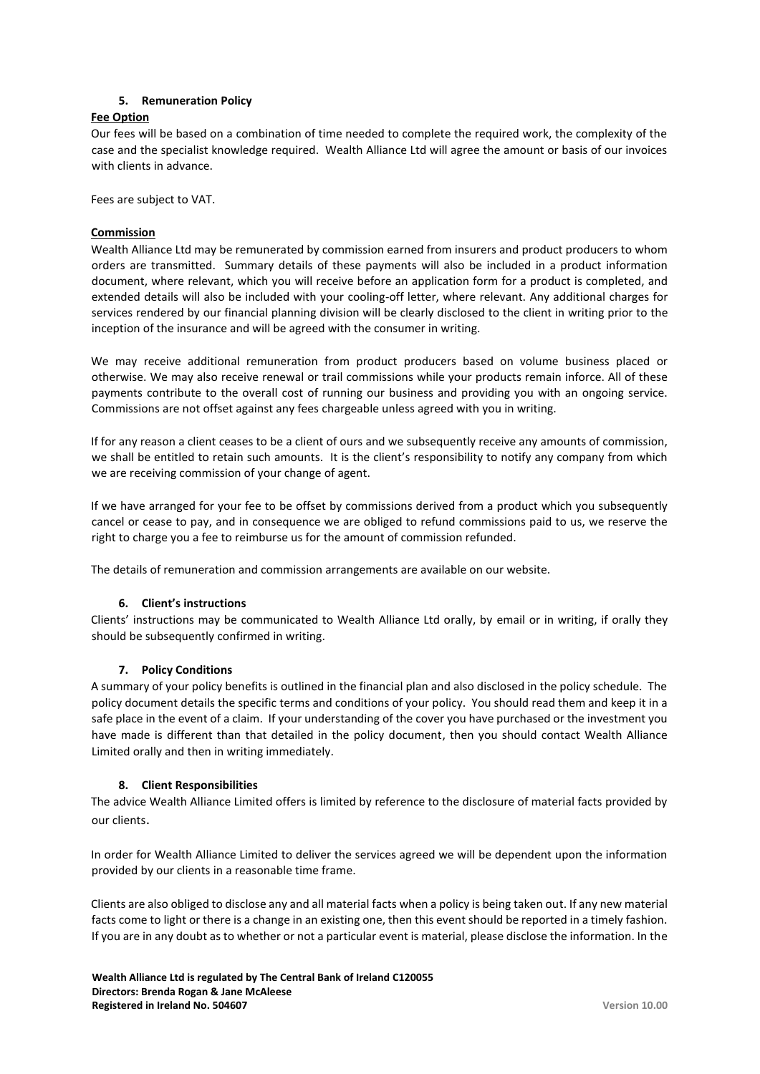## **5. Remuneration Policy**

### **Fee Option**

Our fees will be based on a combination of time needed to complete the required work, the complexity of the case and the specialist knowledge required. Wealth Alliance Ltd will agree the amount or basis of our invoices with clients in advance.

Fees are subject to VAT.

## **Commission**

Wealth Alliance Ltd may be remunerated by commission earned from insurers and product producers to whom orders are transmitted. Summary details of these payments will also be included in a product information document, where relevant, which you will receive before an application form for a product is completed, and extended details will also be included with your cooling-off letter, where relevant. Any additional charges for services rendered by our financial planning division will be clearly disclosed to the client in writing prior to the inception of the insurance and will be agreed with the consumer in writing.

We may receive additional remuneration from product producers based on volume business placed or otherwise. We may also receive renewal or trail commissions while your products remain inforce. All of these payments contribute to the overall cost of running our business and providing you with an ongoing service. Commissions are not offset against any fees chargeable unless agreed with you in writing.

If for any reason a client ceases to be a client of ours and we subsequently receive any amounts of commission, we shall be entitled to retain such amounts. It is the client's responsibility to notify any company from which we are receiving commission of your change of agent.

If we have arranged for your fee to be offset by commissions derived from a product which you subsequently cancel or cease to pay, and in consequence we are obliged to refund commissions paid to us, we reserve the right to charge you a fee to reimburse us for the amount of commission refunded.

The details of remuneration and commission arrangements are available on our website.

## **6. Client's instructions**

Clients' instructions may be communicated to Wealth Alliance Ltd orally, by email or in writing, if orally they should be subsequently confirmed in writing.

### **7. Policy Conditions**

A summary of your policy benefits is outlined in the financial plan and also disclosed in the policy schedule. The policy document details the specific terms and conditions of your policy. You should read them and keep it in a safe place in the event of a claim. If your understanding of the cover you have purchased or the investment you have made is different than that detailed in the policy document, then you should contact Wealth Alliance Limited orally and then in writing immediately.

### **8. Client Responsibilities**

The advice Wealth Alliance Limited offers is limited by reference to the disclosure of material facts provided by our clients.

In order for Wealth Alliance Limited to deliver the services agreed we will be dependent upon the information provided by our clients in a reasonable time frame.

Clients are also obliged to disclose any and all material facts when a policy is being taken out. If any new material facts come to light or there is a change in an existing one, then this event should be reported in a timely fashion. If you are in any doubt as to whether or not a particular event is material, please disclose the information. In the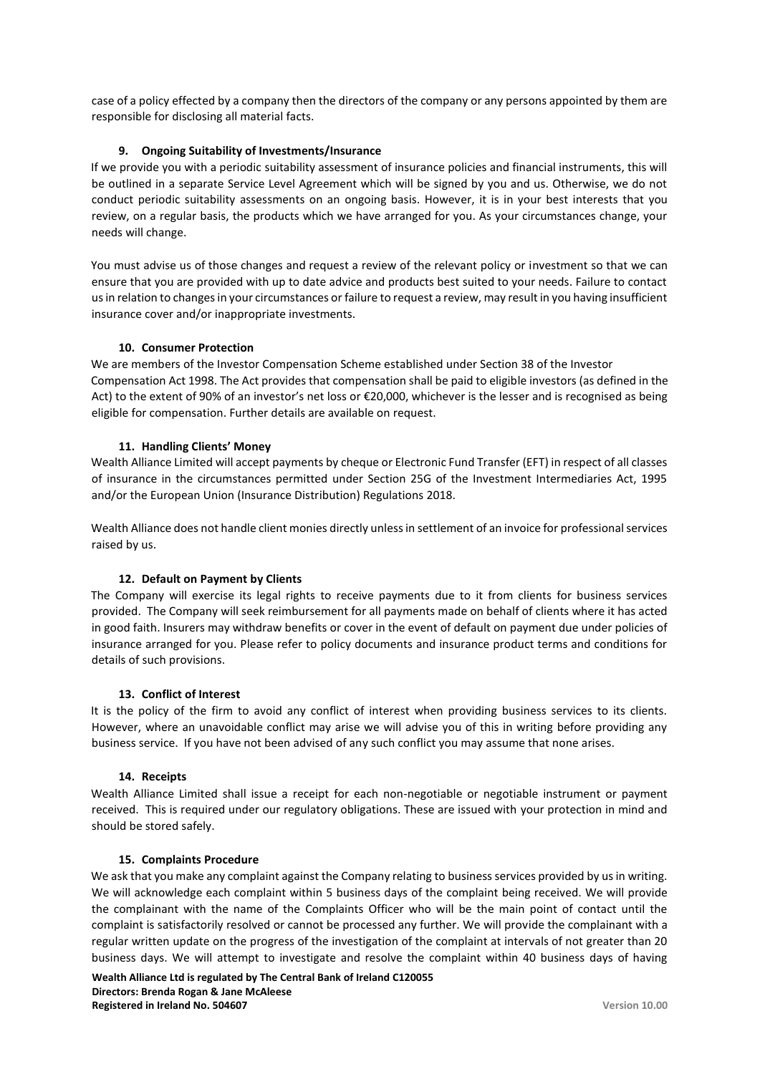case of a policy effected by a company then the directors of the company or any persons appointed by them are responsible for disclosing all material facts.

### **9. Ongoing Suitability of Investments/Insurance**

If we provide you with a periodic suitability assessment of insurance policies and financial instruments, this will be outlined in a separate Service Level Agreement which will be signed by you and us. Otherwise, we do not conduct periodic suitability assessments on an ongoing basis. However, it is in your best interests that you review, on a regular basis, the products which we have arranged for you. As your circumstances change, your needs will change.

You must advise us of those changes and request a review of the relevant policy or investment so that we can ensure that you are provided with up to date advice and products best suited to your needs. Failure to contact us in relation to changes in your circumstances or failure to request a review, may result in you having insufficient insurance cover and/or inappropriate investments.

#### **10. Consumer Protection**

We are members of the Investor Compensation Scheme established under Section 38 of the Investor Compensation Act 1998. The Act provides that compensation shall be paid to eligible investors (as defined in the Act) to the extent of 90% of an investor's net loss or €20,000, whichever is the lesser and is recognised as being eligible for compensation. Further details are available on request.

#### **11. Handling Clients' Money**

Wealth Alliance Limited will accept payments by cheque or Electronic Fund Transfer (EFT) in respect of all classes of insurance in the circumstances permitted under Section 25G of the Investment Intermediaries Act, 1995 and/or the European Union (Insurance Distribution) Regulations 2018.

Wealth Alliance does not handle client monies directly unless in settlement of an invoice for professional services raised by us.

### **12. Default on Payment by Clients**

The Company will exercise its legal rights to receive payments due to it from clients for business services provided. The Company will seek reimbursement for all payments made on behalf of clients where it has acted in good faith. Insurers may withdraw benefits or cover in the event of default on payment due under policies of insurance arranged for you. Please refer to policy documents and insurance product terms and conditions for details of such provisions.

#### **13. Conflict of Interest**

It is the policy of the firm to avoid any conflict of interest when providing business services to its clients. However, where an unavoidable conflict may arise we will advise you of this in writing before providing any business service. If you have not been advised of any such conflict you may assume that none arises.

#### **14. Receipts**

Wealth Alliance Limited shall issue a receipt for each non-negotiable or negotiable instrument or payment received. This is required under our regulatory obligations. These are issued with your protection in mind and should be stored safely.

#### **15. Complaints Procedure**

We ask that you make any complaint against the Company relating to business services provided by us in writing. We will acknowledge each complaint within 5 business days of the complaint being received. We will provide the complainant with the name of the Complaints Officer who will be the main point of contact until the complaint is satisfactorily resolved or cannot be processed any further. We will provide the complainant with a regular written update on the progress of the investigation of the complaint at intervals of not greater than 20 business days. We will attempt to investigate and resolve the complaint within 40 business days of having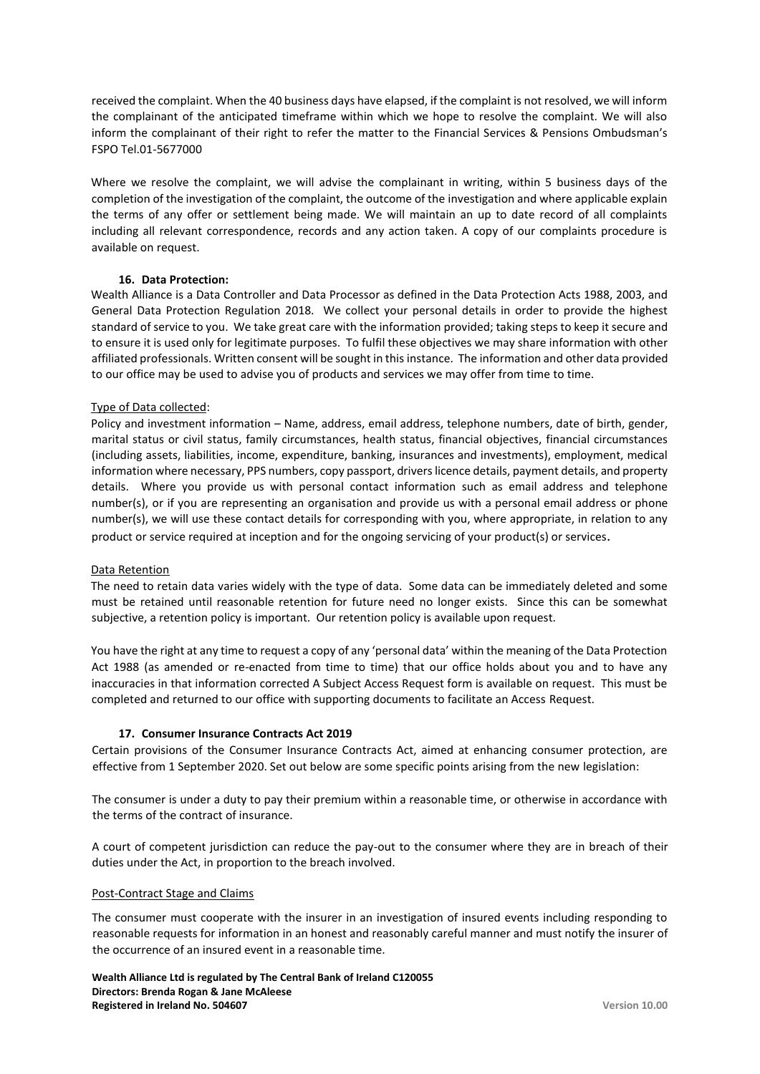received the complaint. When the 40 business days have elapsed, if the complaint is not resolved, we will inform the complainant of the anticipated timeframe within which we hope to resolve the complaint. We will also inform the complainant of their right to refer the matter to the Financial Services & Pensions Ombudsman's FSPO Tel.01-5677000

Where we resolve the complaint, we will advise the complainant in writing, within 5 business days of the completion of the investigation of the complaint, the outcome of the investigation and where applicable explain the terms of any offer or settlement being made. We will maintain an up to date record of all complaints including all relevant correspondence, records and any action taken. A copy of our complaints procedure is available on request.

### **16. Data Protection:**

Wealth Alliance is a Data Controller and Data Processor as defined in the Data Protection Acts 1988, 2003, and General Data Protection Regulation 2018. We collect your personal details in order to provide the highest standard of service to you. We take great care with the information provided; taking steps to keep it secure and to ensure it is used only for legitimate purposes. To fulfil these objectives we may share information with other affiliated professionals. Written consent will be sought in this instance. The information and other data provided to our office may be used to advise you of products and services we may offer from time to time.

### Type of Data collected:

Policy and investment information – Name, address, email address, telephone numbers, date of birth, gender, marital status or civil status, family circumstances, health status, financial objectives, financial circumstances (including assets, liabilities, income, expenditure, banking, insurances and investments), employment, medical information where necessary, PPS numbers, copy passport, drivers licence details, payment details, and property details. Where you provide us with personal contact information such as email address and telephone number(s), or if you are representing an organisation and provide us with a personal email address or phone number(s), we will use these contact details for corresponding with you, where appropriate, in relation to any product or service required at inception and for the ongoing servicing of your product(s) or services.

### Data Retention

The need to retain data varies widely with the type of data. Some data can be immediately deleted and some must be retained until reasonable retention for future need no longer exists. Since this can be somewhat subjective, a retention policy is important. Our retention policy is available upon request.

You have the right at any time to request a copy of any 'personal data' within the meaning of the Data Protection Act 1988 (as amended or re-enacted from time to time) that our office holds about you and to have any inaccuracies in that information corrected A Subject Access Request form is available on request. This must be completed and returned to our office with supporting documents to facilitate an Access Request.

### **17. Consumer Insurance Contracts Act 2019**

Certain provisions of the Consumer Insurance Contracts Act, aimed at enhancing consumer protection, are effective from 1 September 2020. Set out below are some specific points arising from the new legislation:

The consumer is under a duty to pay their premium within a reasonable time, or otherwise in accordance with the terms of the contract of insurance.

A court of competent jurisdiction can reduce the pay-out to the consumer where they are in breach of their duties under the Act, in proportion to the breach involved.

### Post-Contract Stage and Claims

The consumer must cooperate with the insurer in an investigation of insured events including responding to reasonable requests for information in an honest and reasonably careful manner and must notify the insurer of the occurrence of an insured event in a reasonable time.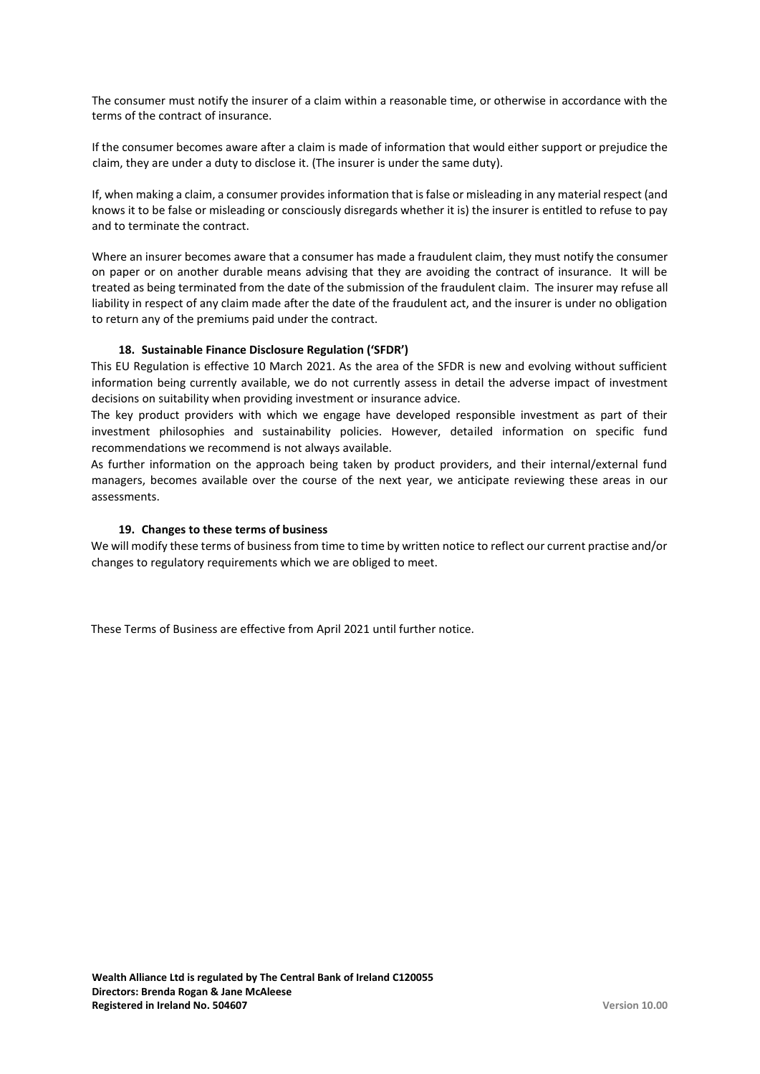The consumer must notify the insurer of a claim within a reasonable time, or otherwise in accordance with the terms of the contract of insurance.

If the consumer becomes aware after a claim is made of information that would either support or prejudice the claim, they are under a duty to disclose it. (The insurer is under the same duty).

If, when making a claim, a consumer provides information that is false or misleading in any material respect (and knows it to be false or misleading or consciously disregards whether it is) the insurer is entitled to refuse to pay and to terminate the contract.

Where an insurer becomes aware that a consumer has made a fraudulent claim, they must notify the consumer on paper or on another durable means advising that they are avoiding the contract of insurance. It will be treated as being terminated from the date of the submission of the fraudulent claim. The insurer may refuse all liability in respect of any claim made after the date of the fraudulent act, and the insurer is under no obligation to return any of the premiums paid under the contract.

### **18. Sustainable Finance Disclosure Regulation ('SFDR')**

This EU Regulation is effective 10 March 2021. As the area of the SFDR is new and evolving without sufficient information being currently available, we do not currently assess in detail the adverse impact of investment decisions on suitability when providing investment or insurance advice.

The key product providers with which we engage have developed responsible investment as part of their investment philosophies and sustainability policies. However, detailed information on specific fund recommendations we recommend is not always available.

As further information on the approach being taken by product providers, and their internal/external fund managers, becomes available over the course of the next year, we anticipate reviewing these areas in our assessments.

#### **19. Changes to these terms of business**

We will modify these terms of business from time to time by written notice to reflect our current practise and/or changes to regulatory requirements which we are obliged to meet.

These Terms of Business are effective from April 2021 until further notice.